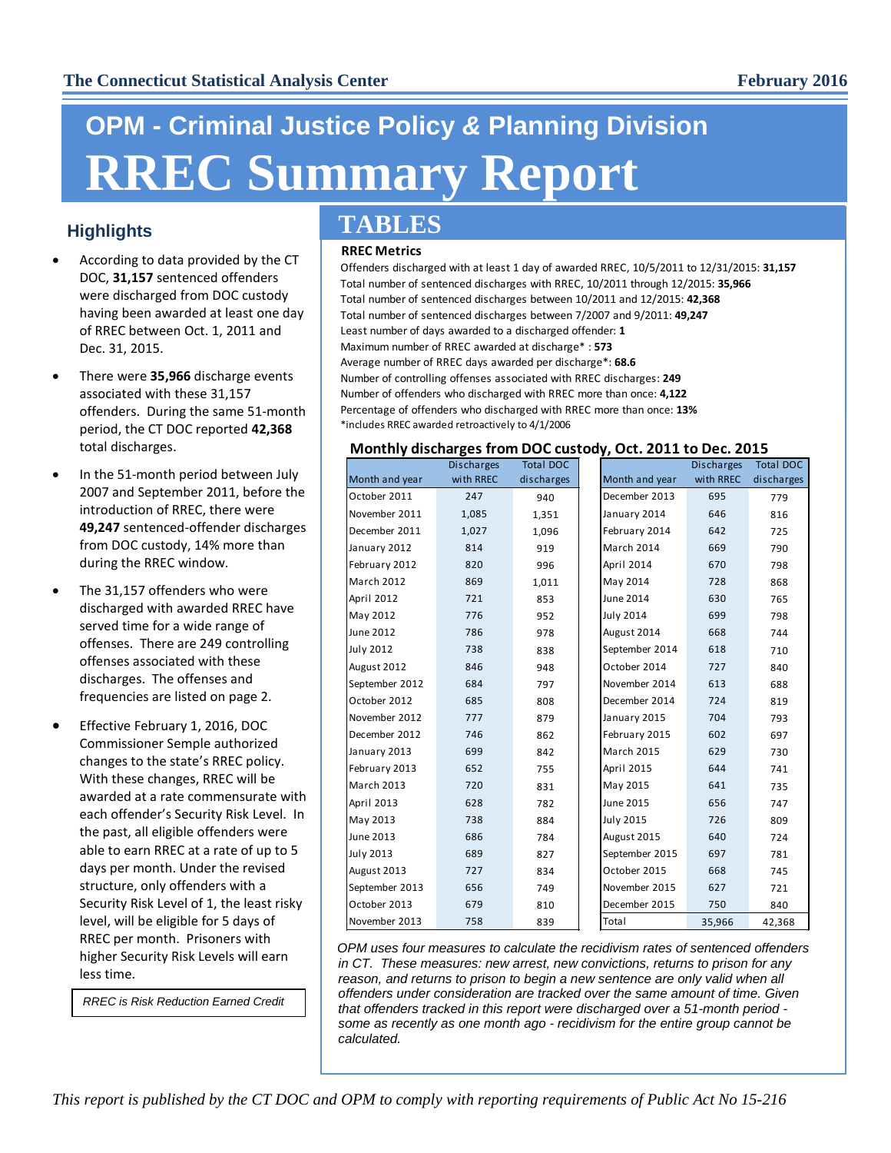# **OPM - Criminal Justice Policy** *&* **Planning Division RREC Summary Report**

### **Highlights**

- According to data provided by the CT DOC, **31,157** sentenced offenders were discharged from DOC custody having been awarded at least one day of RREC between Oct. 1, 2011 and Dec. 31, 2015.
- There were **35,966** discharge events associated with these 31,157 offenders. During the same 51-month period, the CT DOC reported **42,368** total discharges.
- In the 51-month period between July 2007 and September 2011, before the introduction of RREC, there were **49,247** sentenced-offender discharges from DOC custody, 14% more than during the RREC window.
- The 31,157 offenders who were discharged with awarded RREC have served time for a wide range of offenses. There are 249 controlling offenses associated with these discharges. The offenses and frequencies are listed on page 2.
- Effective February 1, 2016, DOC Commissioner Semple authorized changes to the state's RREC policy. With these changes, RREC will be awarded at a rate commensurate with each offender's Security Risk Level. In the past, all eligible offenders were able to earn RREC at a rate of up to 5 days per month. Under the revised structure, only offenders with a Security Risk Level of 1, the least risky level, will be eligible for 5 days of RREC per month. Prisoners with higher Security Risk Levels will earn less time.

*RREC is Risk Reduction Earned Credit*

## **TABLES**

#### **RREC Metrics**

Offenders discharged with at least 1 day of awarded RREC, 10/5/2011 to 12/31/2015: **31,157** Total number of sentenced discharges with RREC, 10/2011 through 12/2015: **35,966** Total number of sentenced discharges between 10/2011 and 12/2015: **42,368** Total number of sentenced discharges between 7/2007 and 9/2011: **49,247** Least number of days awarded to a discharged offender: **1** Maximum number of RREC awarded at discharge\* : **573** Average number of RREC days awarded per discharge\*: **68.6** Number of controlling offenses associated with RREC discharges: **249** Number of offenders who discharged with RREC more than once: **4,122** Percentage of offenders who discharged with RREC more than once: **13%** \*includes RREC awarded retroactively to 4/1/2006

#### **Monthly discharges from DOC custody, Oct. 2011 to Dec. 2015**

|                   | <b>Discharges</b> | <b>Total DOC</b> |                   | <b>Discharges</b> |
|-------------------|-------------------|------------------|-------------------|-------------------|
| Month and year    | with RREC         | discharges       | Month and year    | with RREC         |
| October 2011      | 247               | 940              | December 2013     | 695               |
| November 2011     | 1,085             | 1,351            | January 2014      | 646               |
| December 2011     | 1,027             | 1,096            | February 2014     | 642               |
| January 2012      | 814               | 919              | March 2014        | 669               |
| February 2012     | 820               | 996              | April 2014        | 670               |
| <b>March 2012</b> | 869               | 1,011            | May 2014          | 728               |
| April 2012        | 721               | 853              | <b>June 2014</b>  | 630               |
| May 2012          | 776               | 952              | July 2014         | 699               |
| June 2012         | 786               | 978              | August 2014       | 668               |
| July 2012         | 738               | 838              | September 2014    | 618               |
| August 2012       | 846               | 948              | October 2014      | 727               |
| September 2012    | 684               | 797              | November 2014     | 613               |
| October 2012      | 685               | 808              | December 2014     | 724               |
| November 2012     | 777               | 879              | January 2015      | 704               |
| December 2012     | 746               | 862              | February 2015     | 602               |
| January 2013      | 699               | 842              | <b>March 2015</b> | 629               |
| February 2013     | 652               | 755              | April 2015        | 644               |
| <b>March 2013</b> | 720               | 831              | May 2015          | 641               |
| April 2013        | 628               | 782              | June 2015         | 656               |
| May 2013          | 738               | 884              | July 2015         | 726               |
| June 2013         | 686               | 784              | August 2015       | 640               |
| <b>July 2013</b>  | 689               | 827              | September 2015    | 697               |
| August 2013       | 727               | 834              | October 2015      | 668               |
| September 2013    | 656               | 749              | November 2015     | 627               |
| October 2013      | 679               | 810              | December 2015     | 750               |
| November 2013     | 758               | 839              | Total             | 35,966            |

*OPM uses four measures to calculate the recidivism rates of sentenced offenders in CT. These measures: new arrest, new convictions, returns to prison for any reason, and returns to prison to begin a new sentence are only valid when all offenders under consideration are tracked over the same amount of time. Given that offenders tracked in this report were discharged over a 51-month period some as recently as one month ago - recidivism for the entire group cannot be calculated.*